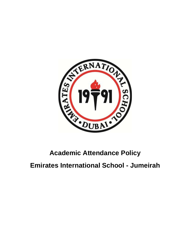

# **Academic Attendance Policy**

## **Emirates International School - Jumeirah**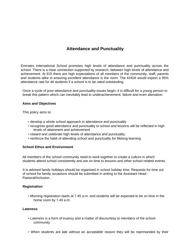### **Attendance and Punctuality**

Emirates International School promotes high levels of attendance and punctuality across the school. There is a clear connection supported by research, between high levels of attendance and achievement. At EIS there are high expectations of all members of the community, staff, parents and students alike in ensuring excellent attendance is the norm. The KHDA would expect a 95% attendance rate for all students if a school is to be rated outstanding.

Once a cycle of poor attendance and punctuality issues begin, it is difficult for a young person to break this pattern which can inevitably lead to underachievement, failure and even alienation.

#### **Aims and Objectives**

This policy aims to:

- develop a whole school approach to attendance and punctuality
- recognise good attendance and punctuality to school and lessons will be reflected in high levels of attainment and achievement
- reward and celebrate high levels of attendance and punctuality
- reinforce the habit of attending school and punctuality for lifelong learning

#### **School Ethos and Environment**

All members of the school community need to work together to create a culture in which students attend school consistently and are on time to lessons and other school related events.

It is advised family holidays should be organised in school holiday time. Requests for time out of school for family occasions should be submitted in writing to the Assistant Head - Pastoral/Inclusion .

#### **Registration**

• Morning registration starts at 7:45 a.m. and students will be expected to be on time in the home room by 7.40 a.m.

#### **Lateness**

- Lateness is a form of truancy and a matter of discourtesy to members of the school community
- When students are late without an acceptable reason they will be reprimanded by their